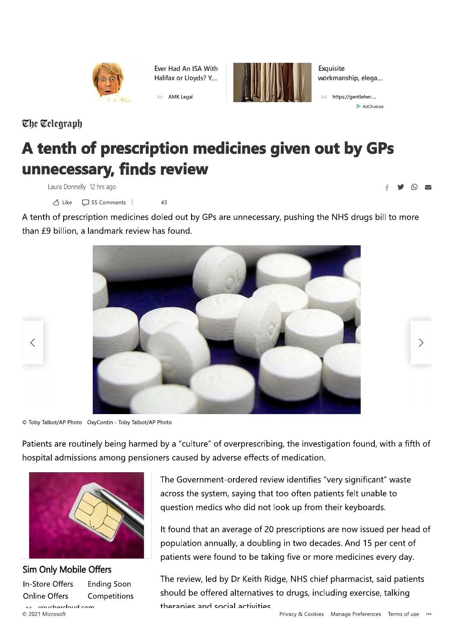

Ever Had An ISA With Halifax or Lloyds? Y...



Exquisite workmanship, elega...

AdChoices

 $\begin{array}{c} \bullet & \bullet & \bullet \\ \bullet & \bullet & \bullet \end{array}$ 

 $\left\langle \right\rangle$ 

# The Telegraph

 $\overline{\left\langle \right\rangle }$ 

# A tenth of prescription medicines given out by GPs unnecessary, finds review

Laura Donnelly 12 hrs ago

△ Like □ 55 Comments | 43

A tenth of prescription medicines doled out by GPs are unnecessary, pushing the NHS drugs bill to more than £9 billion, a landmark review has found.



 $@$  Toby Talbot/AP Photo OxyContin - Toby Talbot/AP Photo

Patients are routinely being harmed by a "culture" of overprescribing, the investigation found, with a fifth of hospital admissions among pensioners caused by adverse effects of medication.



The Government-ordered review identifies "very significant" waste across the system, saying that too often patients felt unable to question medics who did not look up from their keyboards.

It found that an average of 20 prescriptions are now issued per head of population annually, a doubling in two decades. And 15 per cent of patients were found to be taking five or more medicines every day.

The review, led by Dr Keith Ridge, NHS chief pharmacist, said patients should be offered alternatives to drugs, including exercise, talking theranies and social activities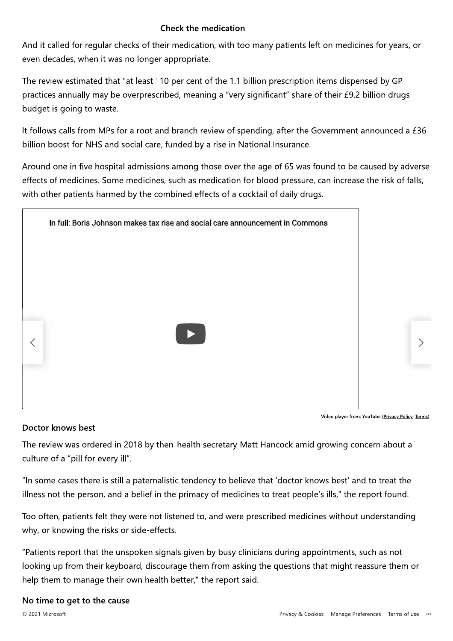## **Check the medication**

And it called for regular checks of their medication, with too many patients left on medicines for years, or even decades, when it was no longer appropriate.

The review estimated that "at least" 10 per cent of the 1.1 billion prescription items dispensed by GP practices annually may be overprescribed, meaning a "very significant" share of their £9.2 billion drugs budget is going to waste.

It follows calls from MPs for a root and branch review of spending, after the Government announced a £36 billion boost for NHS and social care, funded by a rise in National Insurance.

Around one in five hospital admissions among those over the age of 65 was found to be caused by adverse effects of medicines. Some medicines, such as medication for blood pressure, can increase the risk of falls, with other patients harmed by the combined effects of a cocktail of daily drugs.



Video player from: YouTube (Privacy Policy, Terms)

#### Doctor knows best

The review was ordered in 2018 by then-health secretary Matt Hancock amid growing concern about a culture of a "pill for every ill".

"In some cases there is still a paternalistic tendency to believe that 'doctor knows best' and to treat the illness not the person, and a belief in the primacy of medicines to treat people's ills," the report found.

Too often, patients felt they were not listened to, and were prescribed medicines without understanding why, or knowing the risks or side-effects.

"Patients report that the unspoken signals given by busy clinicians during appointments, such as not looking up from their keyboard, discourage them from asking the questions that might reassure them or help them to manage their own health better," the report said.

#### No time to get to the cause

© 2021 Microsoft